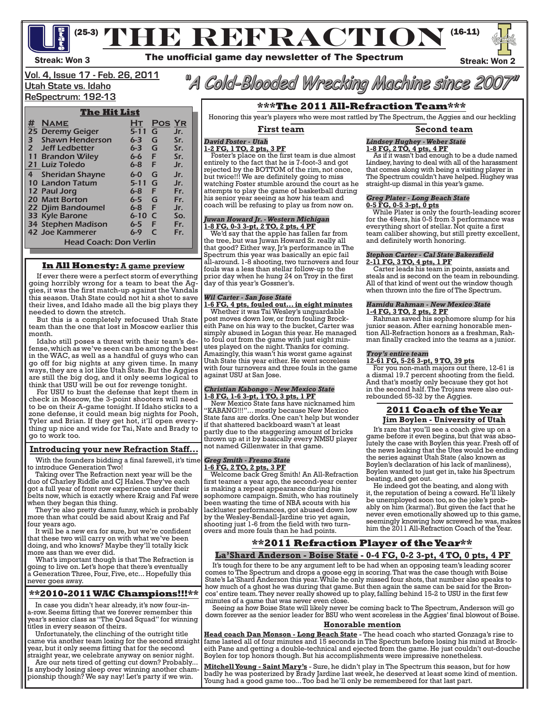<sup>(25-3)</sup> THE REFRACTION<sup>(16-11)</sup>



### **Vol. 4, Issue 17 - Feb. 26, 2011 Utah State vs. Idaho**

# **ReSpectrum: 192-13**

#### **The Hit List # Name Ht Pos Yr** 25 Deremy Geiger 5-11 G Jr.  $\begin{array}{ll}\n\text{\#} & \text{NAME} \\
\text{25 Deremy Geiger} & \text{5-11 G} & \text{Jr.} \\
\text{35} & \text{Shawn Henderson} & \text{6-3 G} & \text{Sr.} \\
\text{46} & \text{Jr.} & \text{27} & \text{left ledbetter} \\
\end{array}$ 2 Jeff Ledbetter 6-3 G Sr.<br>11 Brandon Wiley 6-6 F Sr. 11 Brandon Wiley 6-6 F<br>21 Luiz Toledo 6-8 F 21 Luiz Toledo 6-8 F Jr. 4 Sheridan Shayne 6-0 G Jr.<br>10 Landon Tatum 5-11 G Jr. 10 Landon Tatum 5-11 G Jr.<br>12 Paul Jorg 6-8 F Fr. 12 Paul Jorg 6-8 F Fr. 20 Matt Borton 6-5 G Fr.<br>
22 Djim Bandoumel 6-8 F Jr. 22 Djim Bandoumel 6-8 F Jr.<br>33 Kyle Barone 6-10 C So. 33 Kyle Barone 34 Stephen Madison 6-5 F Fr.<br>42 Joe Kammerer 6-9 C Fr. 42 Joe Kammerer Head Coach: Don Verlin

### **In All Honesty: A game preview**

If ever there were a perfect storm of everything going horribly wrong for a team to beat the Aggies, it was the first match-up against the Vandals this season. Utah State could not hit a shot to save their lives, and Idaho made all the big plays they needed to down the stretch.

But this is a completely refocused Utah State team than the one that lost in Moscow earlier this month.

Idaho still poses a threat with their team's defense, which as we've seen can be among the best in the WAC, as well as a handful of guys who can go off for big nights at any given time. In many ways, they are a lot like Utah State. But the Aggies are still the big dog, and it only seems logical to think that USU will be out for revenge tonight.

For USU to bust the defense that kept them in check in Moscow, the 3-point shooters will need to be on their A-game tonight. If Idaho sticks to a zone defense, it could mean big nights for Pooh, Tyler and Brian. If they get hot, it'll open everything up nice and wide for Tai, Nate and Brady to go to work too.

#### **Introducing your new Refraction Staff...**

With the founders bidding a final farewell, it's time to introduce Generation Two!

Taking over The Refraction next year will be the duo of Charley Riddle and CJ Hales. They've each got a full year of front row experience under their belts now, which is exactly where Kraig and Faf were when they began this thing.

They're also pretty damn funny, which is probably more than what could be said about Kraig and Faf four years ago.

It will be a new era for sure, but we're confident that these two will carry on with what we've been doing, and who knows? Maybe they'll totally kick more ass than we ever did.

What's important though is that The Refraction is going to live on. Let's hope that there's eventually a Generation Three, Four, Five, etc... Hopefully this never goes away.

#### **\*\*2010-2011 WAC Champions!!!\*\***

In case you didn't hear already, it's now four-ina-row. Seems fitting that we forever remember this year's senior class as "The Quad Squad" for winning titles in every season of theirs.

Unfortunately, the clinching of the outright title came via another team losing for the second straigh year, but it only seems fitting that for the second straight year, we celebrate anyway on senior night.

Are our nets tired of getting cut down? Probably... Is anybody losing sleep over winning another championship though? We say nay! Let's party if we win.

"A Cold-Blooded Wrecking Machine since 2007"

#### **\*\*\*The 2011 All-Refraction Team\*\*\***

Honoring this year's players who were most rattled by The Spectrum, the Aggies and our heckling

#### *David Foster - Utah* **1-2 FG, 1 TO, 2 pts, 3 PF**

 Foster's place on the first team is due almost entirely to the fact that he is 7-foot-3 and got rejected by the BOTTOM of the rim, not once, but twice!!! We are definitely going to miss watching Foster stumble around the court as he attempts to play the game of basketball during his senior year seeing as how his team and coach will be refusing to play us from now on.

### *Juwan Howard Jr. - Western Michigan* **1-8 FG, 0-3 3-pt, 2 TO, 2 pts, 4 PF**

 We'd say that the apple has fallen far from the tree, but was Juwan Howard Sr. really all that good? Either way, Jr's performance in The Spectrum this year was basically an epic fail all-around. 1-8 shooting, two turnovers and four fouls was a less than stellar follow-up to the prior day when he hung 24 on Troy in the first day of this year's Gossner's.

### *Wil Carter - San Jose State*

**1-6 FG, 4 pts, fouled out... in eight minutes**

 Whether it was Tai Wesley's unguardable eith Pane on his way to the bucket, Carter was simply abused in Logan this year. He managed<br>to foul out from the game with just eight minutes played on the night. Thanks for coming. Amazingly, this wasn't his worst game against Utah State this year either. He went scoreless with four turnovers and three fouls in the game against USU at San Jose.

### *Christian Kabongo - New Mexico State* **1-8 FG, 1-6 3-pt, 1 TO, 3 pts, 1 PF**

 New Mexico State fans have nicknamed him "KABANG!!!"... mostly because New Mexico State fans are dorks. One can't help but wonder if that shattered backboard wasn't at least partly due to the staggering amount of bricks thrown up at it by basically every NMSU player not named Gillenwater in that game.

## *Greg Smith - Fresno State*

**1-6 FG, 2 TO, 2 pts, 3 PF** Welcome back Greg Smith! An All-Refraction first teamer a year ago, the second-year center is making a repeat appearance during his sophomore campaign. Smith, who has routinely been wasting the time of NBA scouts with his lackluster performances, got abused down low by the Wesley-Bendall-Jardine trio yet again, shooting just 1-6 from the field with two turn- overs and more fouls than he had points.

#### **First team Second team** *Lindsey Hughey - Weber State*

#### **1-8 FG, 2 TO, 4 pts, 4 PF**

 As if it wasn't bad enough to be a dude named Lindsey, having to deal with all of the harassment that comes along with being a visiting player in The Spectrum couldn't have helped. Hughey was straight-up dismal in this year's game.

#### *Greg Plater - Long Beach State* **0-5 FG, 0-5 3-pt, 0 pts**

 While Plater is only the fourth-leading scorer for the 49ers, his 0-5 from 3 performance was everything short of stellar. Not quite a first team caliber showing, but still pretty excellent, and definitely worth honoring.

#### *Stephon Carter - Cal State Bakersfield* **2-11 FG, 3 TO, 4 pts, 1 PF**

 Carter leads his team in points, assists and steals and is second on the team in rebounding. All of that kind of went out the window though when thrown into the fire of The Spectrum.

## *Hamidu Rahman - New Mexico State*

**1-4 FG, 3 TO, 2 pts, 2 PF** Rahman saved his sophomore slump for his junior season. After earning honorable men- tion All-Refraction honors as a freshman, Rah- man finally cracked into the teams as a junior.

#### *Troy's entire team*

**12-61 FG, 5-26 3-pt, 9 TO, 39 pts**

 For you non-math majors out there, 12-61 is a dismal 19.7 percent shooting from the field. And that's mostly only because they got hot in the second half. The Trojans were also out- rebounded 55-32 by the Aggies.

#### **2011 Coach of the Year Jim Boylen - University of Utah**

It's rare that you'll see a coach give up on a game before it even begins, but that was abso- lutely the case with Boylen this year. Fresh off of the news leaking that the Utes would be ending the series against Utah State (also known as Boylen's declaration of his lack of manliness), Boylen wanted to just get in, take his Spectrum beating, and get out.

He indeed got the beating, and along with it, the reputation of being a coward. He'll likely be unemployed soon too, so the joke's prob- ably on him (karma!). But given the fact that he never even emotionally showed up to this game, seemingly knowing how screwed he was, makes him the 2011 All-Refraction Coach of the Year.

### **\*\*2011 Refraction Player of the Year\*\* La'Shard Anderson - Boise State - 0-4 FG, 0-2 3-pt, 4 TO, 0 pts, 4 PF**

It's tough for there to be any argument left to be had when an opposing team's leading scorer comes to The Spectrum and drops a goose egg in scoring. That was the case though with Boise State's La'Shard Anderson this year. While he only missed four shots, that number also speaks to how much of a ghost he was during that game. But then again the same can be said for the Bron- cos' entire team. They never really showed up to play, falling behind 15-2 to USU in the first few minutes of a game that was never even close.

Seeing as how Boise State will likely never be coming back to The Spectrum, Anderson will go down forever as the senior leader for BSU who went scoreless in the Aggies' final blowout of Boise.

#### **Honorable mention**

**Head coach Dan Monson - Long Beach State** - The head coach who started Gonzaga's rise to fame lasted all of four minutes and 15 seconds in The Spectrum before losing his mind at Brockeith Pane and getting a double-technical and ejected from the game. He just couldn't out-douche Boylen for top honors though. But his accomplishments were impressive nonetheless.

**Mitchell Young - Saint Mary's** - Sure, he didn't play in The Spectrum this season, but for how badly he was posterized by Brady Jardine last week, he deserved at least some kind of mention. Young had a good game too... Too bad he'll only be remembered for that last part.